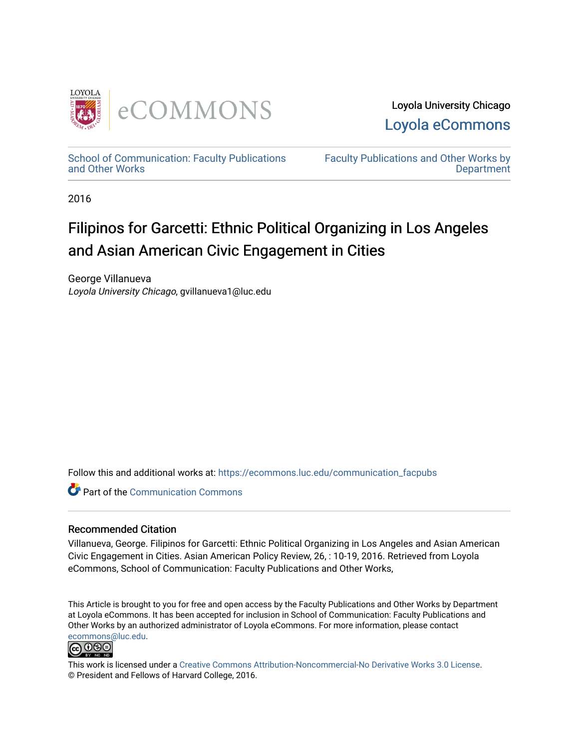

Loyola University Chicago [Loyola eCommons](https://ecommons.luc.edu/) 

[School of Communication: Faculty Publications](https://ecommons.luc.edu/communication_facpubs)  [and Other Works](https://ecommons.luc.edu/communication_facpubs)

[Faculty Publications and Other Works by](https://ecommons.luc.edu/faculty)  **Department** 

2016

# Filipinos for Garcetti: Ethnic Political Organizing in Los Angeles and Asian American Civic Engagement in Cities

George Villanueva Loyola University Chicago, gvillanueva1@luc.edu

Follow this and additional works at: [https://ecommons.luc.edu/communication\\_facpubs](https://ecommons.luc.edu/communication_facpubs?utm_source=ecommons.luc.edu%2Fcommunication_facpubs%2F21&utm_medium=PDF&utm_campaign=PDFCoverPages)

**C** Part of the Communication Commons

## Recommended Citation

Villanueva, George. Filipinos for Garcetti: Ethnic Political Organizing in Los Angeles and Asian American Civic Engagement in Cities. Asian American Policy Review, 26, : 10-19, 2016. Retrieved from Loyola eCommons, School of Communication: Faculty Publications and Other Works,

This Article is brought to you for free and open access by the Faculty Publications and Other Works by Department at Loyola eCommons. It has been accepted for inclusion in School of Communication: Faculty Publications and Other Works by an authorized administrator of Loyola eCommons. For more information, please contact [ecommons@luc.edu](mailto:ecommons@luc.edu).



This work is licensed under a [Creative Commons Attribution-Noncommercial-No Derivative Works 3.0 License.](https://creativecommons.org/licenses/by-nc-nd/3.0/) © President and Fellows of Harvard College, 2016.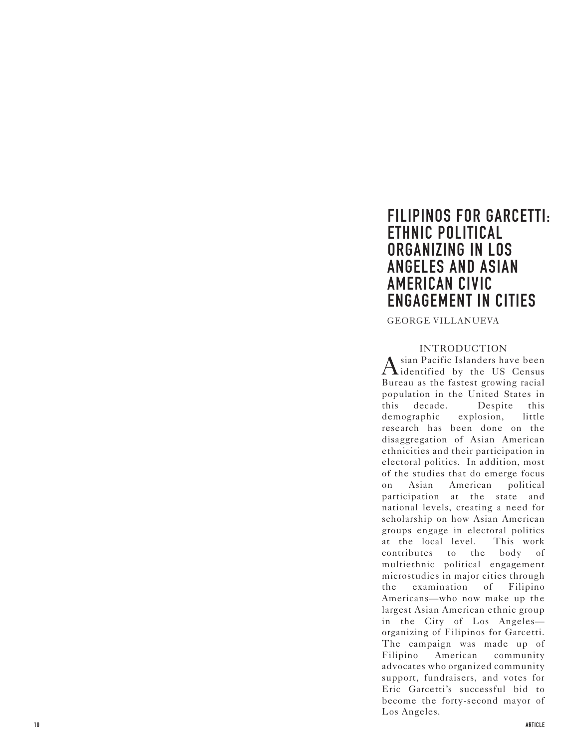## **FILIPINOS FOR GARCETTI: ETHNIC POLITICAL ORGANIZING IN LOS ANGELES AND ASIAN AMERICAN CIVIC ENGAGEMENT IN CITIES**

GEORGE VILLANUEVA

## INTRODUCTION

 $\rm A$ sian Pacific Islanders have been<br>didentified by the US Census Bureau as the fastest growing racial population in the United States in this decade. Despite this demographic explosion, little research has been done on the disaggregation of Asian American ethnicities and their participation in electoral politics. In addition, most of the studies that do emerge focus on Asian American political participation at the state and national levels, creating a need for scholarship on how Asian American groups engage in electoral politics at the local level. This work contributes to the body of multiethnic political engagement microstudies in major cities through the examination of Filipino Americans—who now make up the largest Asian American ethnic group in the City of Los Angeles organizing of Filipinos for Garcetti. The campaign was made up of Filipino American community advocates who organized community support, fundraisers, and votes for Eric Garcetti's successful bid to become the forty-second mayor of Los Angeles.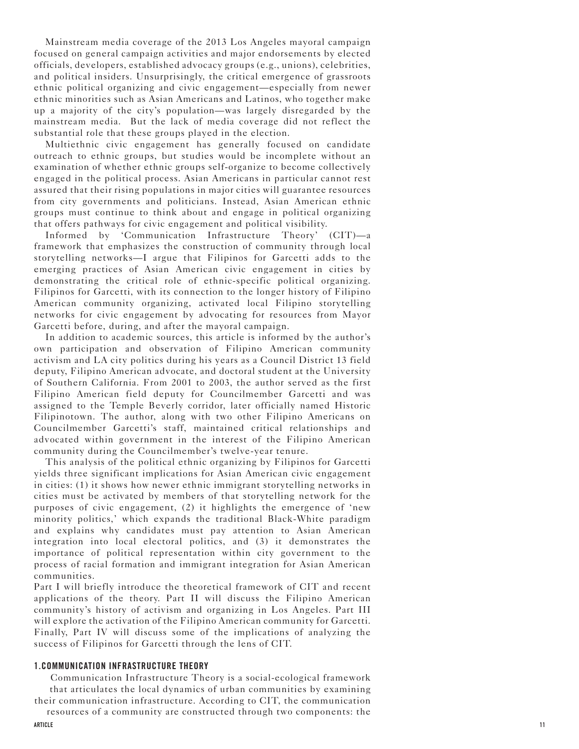Mainstream media coverage of the 2013 Los Angeles mayoral campaign focused on general campaign activities and major endorsements by elected officials, developers, established advocacy groups (e.g., unions), celebrities, and political insiders. Unsurprisingly, the critical emergence of grassroots ethnic political organizing and civic engagement—especially from newer ethnic minorities such as Asian Americans and Latinos, who together make up a majority of the city's population—was largely disregarded by the mainstream media. But the lack of media coverage did not reflect the substantial role that these groups played in the election.

Multiethnic civic engagement has generally focused on candidate outreach to ethnic groups, but studies would be incomplete without an examination of whether ethnic groups self-organize to become collectively engaged in the political process. Asian Americans in particular cannot rest assured that their rising populations in major cities will guarantee resources from city governments and politicians. Instead, Asian American ethnic groups must continue to think about and engage in political organizing that offers pathways for civic engagement and political visibility.

Informed by 'Communication Infrastructure Theory' (CIT)—a framework that emphasizes the construction of community through local storytelling networks—I argue that Filipinos for Garcetti adds to the emerging practices of Asian American civic engagement in cities by demonstrating the critical role of ethnic-specific political organizing. Filipinos for Garcetti, with its connection to the longer history of Filipino American community organizing, activated local Filipino storytelling networks for civic engagement by advocating for resources from Mayor Garcetti before, during, and after the mayoral campaign.

In addition to academic sources, this article is informed by the author's own participation and observation of Filipino American community activism and LA city politics during his years as a Council District 13 field deputy, Filipino American advocate, and doctoral student at the University of Southern California. From 2001 to 2003, the author served as the first Filipino American field deputy for Councilmember Garcetti and was assigned to the Temple Beverly corridor, later officially named Historic Filipinotown. The author, along with two other Filipino Americans on Councilmember Garcetti's staff, maintained critical relationships and advocated within government in the interest of the Filipino American community during the Councilmember's twelve-year tenure.

This analysis of the political ethnic organizing by Filipinos for Garcetti yields three significant implications for Asian American civic engagement in cities: (1) it shows how newer ethnic immigrant storytelling networks in cities must be activated by members of that storytelling network for the purposes of civic engagement, (2) it highlights the emergence of 'new minority politics,' which expands the traditional Black-White paradigm and explains why candidates must pay attention to Asian American integration into local electoral politics, and (3) it demonstrates the importance of political representation within city government to the process of racial formation and immigrant integration for Asian American communities.

Part I will briefly introduce the theoretical framework of CIT and recent applications of the theory. Part II will discuss the Filipino American community's history of activism and organizing in Los Angeles. Part III will explore the activation of the Filipino American community for Garcetti. Finally, Part IV will discuss some of the implications of analyzing the success of Filipinos for Garcetti through the lens of CIT.

#### **1.COMMUNICATION INFRASTRUCTURE THEORY**

Communication Infrastructure Theory is a social-ecological framework that articulates the local dynamics of urban communities by examining their communication infrastructure. According to CIT, the communication

resources of a community are constructed through two components: the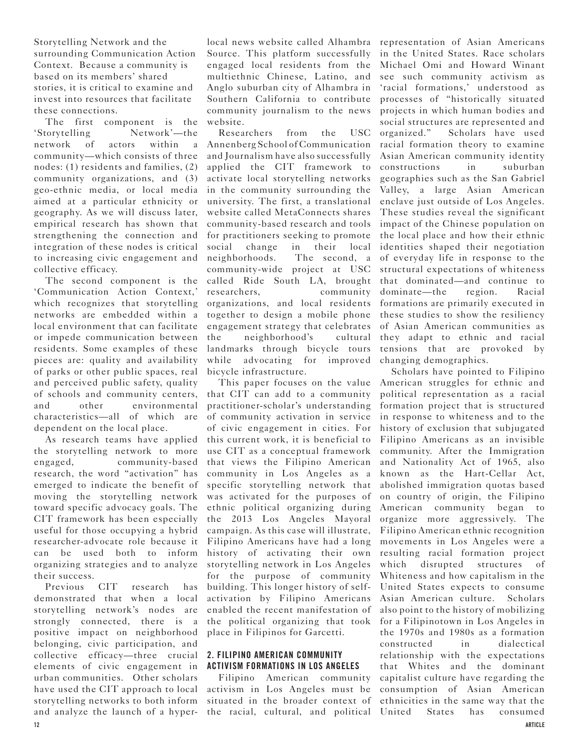Storytelling Network and the surrounding Communication Action Context. Because a community is based on its members' shared stories, it is critical to examine and invest into resources that facilitate these connections.

The first component is the 'Storytelling Network'—the network of actors within a community—which consists of three nodes: (1) residents and families, (2) community organizations, and (3) geo-ethnic media, or local media aimed at a particular ethnicity or geography. As we will discuss later, empirical research has shown that strengthening the connection and integration of these nodes is critical to increasing civic engagement and collective efficacy.

The second component is the 'Communication Action Context,' which recognizes that storytelling networks are embedded within a local environment that can facilitate or impede communication between residents. Some examples of these pieces are: quality and availability of parks or other public spaces, real and perceived public safety, quality of schools and community centers, and other environmental characteristics—all of which are dependent on the local place.

As research teams have applied the storytelling network to more engaged, community-based research, the word "activation" has emerged to indicate the benefit of moving the storytelling network toward specific advocacy goals. The CIT framework has been especially useful for those occupying a hybrid researcher-advocate role because it can be used both to inform organizing strategies and to analyze their success.

Previous CIT research has demonstrated that when a local storytelling network's nodes are strongly connected, there is a positive impact on neighborhood belonging, civic participation, and collective efficacy—three crucial elements of civic engagement in urban communities. Other scholars have used the CIT approach to local storytelling networks to both inform and analyze the launch of a hyper-the racial, cultural, and political

local news website called Alhambra representation of Asian Americans Source. This platform successfully engaged local residents from the multiethnic Chinese, Latino, and Anglo suburban city of Alhambra in Southern California to contribute community journalism to the news website.

Researchers from the USC Annenberg School of Communication and Journalism have also successfully applied the CIT framework to activate local storytelling networks in the community surrounding the university. The first, a translational website called MetaConnects shares community-based research and tools for practitioners seeking to promote social change in their local neighborhoods. The second, a community-wide project at USC called Ride South LA, brought researchers, community organizations, and local residents together to design a mobile phone engagement strategy that celebrates the neighborhood's cultural landmarks through bicycle tours while advocating for improved bicycle infrastructure.

This paper focuses on the value that CIT can add to a community practitioner-scholar's understanding of community activation in service of civic engagement in cities. For this current work, it is beneficial to use CIT as a conceptual framework that views the Filipino American community in Los Angeles as a specific storytelling network that was activated for the purposes of ethnic political organizing during the 2013 Los Angeles Mayoral campaign. As this case will illustrate, Filipino Americans have had a long history of activating their own storytelling network in Los Angeles for the purpose of community building. This longer history of selfactivation by Filipino Americans enabled the recent manifestation of the political organizing that took place in Filipinos for Garcetti.

### **2. FILIPINO AMERICAN COMMUNITY ACTIVISM FORMATIONS IN LOS ANGELES**

Filipino American community activism in Los Angeles must be situated in the broader context of

in the United States. Race scholars Michael Omi and Howard Winant see such community activism as 'racial formations,' understood as processes of "historically situated projects in which human bodies and social structures are represented and organized." Scholars have used racial formation theory to examine Asian American community identity constructions in suburban geographies such as the San Gabriel Valley, a large Asian American enclave just outside of Los Angeles. These studies reveal the significant impact of the Chinese population on the local place and how their ethnic identities shaped their negotiation of everyday life in response to the structural expectations of whiteness that dominated—and continue to dominate—the region. Racial formations are primarily executed in these studies to show the resiliency of Asian American communities as they adapt to ethnic and racial tensions that are provoked by changing demographics.

Scholars have pointed to Filipino American struggles for ethnic and political representation as a racial formation project that is structured in response to whiteness and to the history of exclusion that subjugated Filipino Americans as an invisible community. After the Immigration and Nationality Act of 1965, also known as the Hart-Cellar Act, abolished immigration quotas based on country of origin, the Filipino American community began to organize more aggressively. The Filipino American ethnic recognition movements in Los Angeles were a resulting racial formation project which disrupted structures of Whiteness and how capitalism in the United States expects to consume Asian American culture. Scholars also point to the history of mobilizing for a Filipinotown in Los Angeles in the 1970s and 1980s as a formation constructed in dialectical relationship with the expectations that Whites and the dominant capitalist culture have regarding the consumption of Asian American ethnicities in the same way that the States has consumed **12 ARTICLE**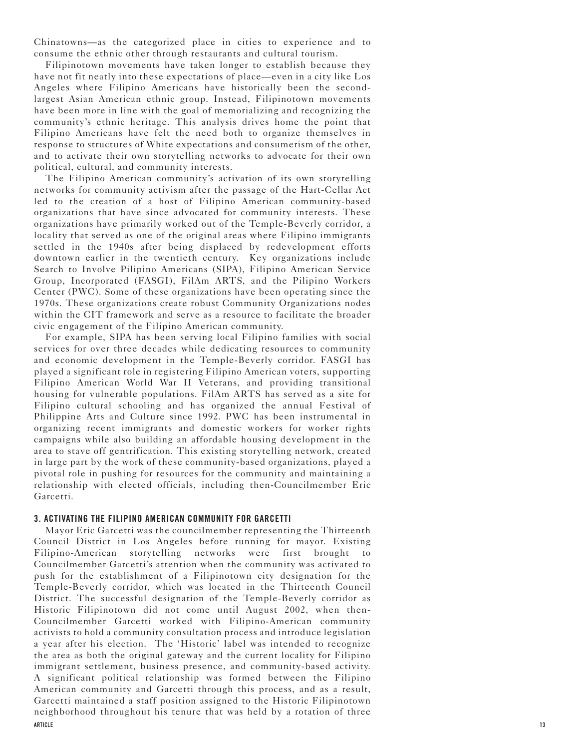Chinatowns—as the categorized place in cities to experience and to consume the ethnic other through restaurants and cultural tourism.

Filipinotown movements have taken longer to establish because they have not fit neatly into these expectations of place—even in a city like Los Angeles where Filipino Americans have historically been the secondlargest Asian American ethnic group. Instead, Filipinotown movements have been more in line with the goal of memorializing and recognizing the community's ethnic heritage. This analysis drives home the point that Filipino Americans have felt the need both to organize themselves in response to structures of White expectations and consumerism of the other, and to activate their own storytelling networks to advocate for their own political, cultural, and community interests.

The Filipino American community's activation of its own storytelling networks for community activism after the passage of the Hart-Cellar Act led to the creation of a host of Filipino American community-based organizations that have since advocated for community interests. These organizations have primarily worked out of the Temple-Beverly corridor, a locality that served as one of the original areas where Filipino immigrants settled in the 1940s after being displaced by redevelopment efforts downtown earlier in the twentieth century. Key organizations include Search to Involve Pilipino Americans (SIPA), Filipino American Service Group, Incorporated (FASGI), FilAm ARTS, and the Pilipino Workers Center (PWC). Some of these organizations have been operating since the 1970s. These organizations create robust Community Organizations nodes within the CIT framework and serve as a resource to facilitate the broader civic engagement of the Filipino American community.

For example, SIPA has been serving local Filipino families with social services for over three decades while dedicating resources to community and economic development in the Temple-Beverly corridor. FASGI has played a significant role in registering Filipino American voters, supporting Filipino American World War II Veterans, and providing transitional housing for vulnerable populations. FilAm ARTS has served as a site for Filipino cultural schooling and has organized the annual Festival of Philippine Arts and Culture since 1992. PWC has been instrumental in organizing recent immigrants and domestic workers for worker rights campaigns while also building an affordable housing development in the area to stave off gentrification. This existing storytelling network, created in large part by the work of these community-based organizations, played a pivotal role in pushing for resources for the community and maintaining a relationship with elected officials, including then-Councilmember Eric Garcetti.

#### **3. ACTIVATING THE FILIPINO AMERICAN COMMUNITY FOR GARCETTI**

Mayor Eric Garcetti was the councilmember representing the Thirteenth Council District in Los Angeles before running for mayor. Existing Filipino-American storytelling networks were first brought to Councilmember Garcetti's attention when the community was activated to push for the establishment of a Filipinotown city designation for the Temple-Beverly corridor, which was located in the Thirteenth Council District. The successful designation of the Temple-Beverly corridor as Historic Filipinotown did not come until August 2002, when then-Councilmember Garcetti worked with Filipino-American community activists to hold a community consultation process and introduce legislation a year after his election. The 'Historic' label was intended to recognize the area as both the original gateway and the current locality for Filipino immigrant settlement, business presence, and community-based activity. A significant political relationship was formed between the Filipino American community and Garcetti through this process, and as a result, Garcetti maintained a staff position assigned to the Historic Filipinotown neighborhood throughout his tenure that was held by a rotation of three **ARTICLE 13**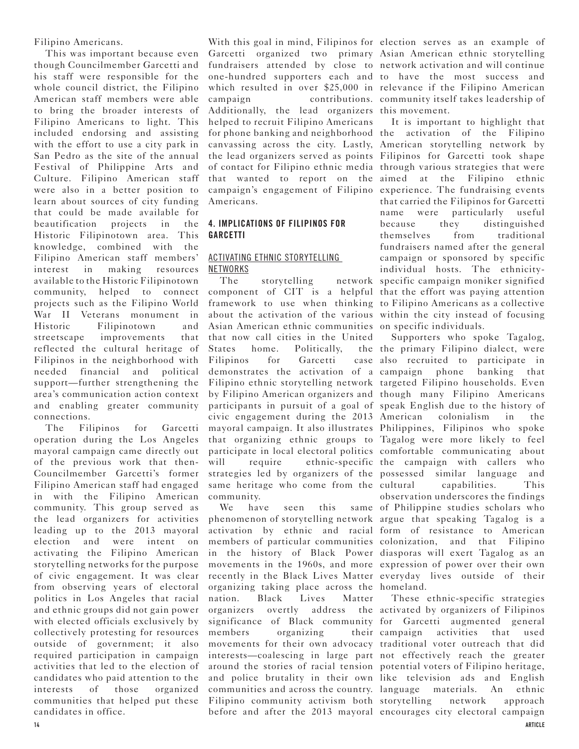Filipino Americans.

This was important because even though Councilmember Garcetti and his staff were responsible for the whole council district, the Filipino American staff members were able to bring the broader interests of Filipino Americans to light. This included endorsing and assisting with the effort to use a city park in San Pedro as the site of the annual Festival of Philippine Arts and Culture. Filipino American staff were also in a better position to learn about sources of city funding that could be made available for beautification projects in the Historic Filipinotown area. This knowledge, combined with the Filipino American staff members' interest in making resources available to the Historic Filipinotown community, helped to connect projects such as the Filipino World War II Veterans monument in Historic Filipinotown and streetscape improvements that reflected the cultural heritage of Filipinos in the neighborhood with needed financial and political support—further strengthening the area's communication action context and enabling greater community connections.

The Filipinos for Garcetti operation during the Los Angeles mayoral campaign came directly out of the previous work that then-Councilmember Garcetti's former Filipino American staff had engaged in with the Filipino American community. This group served as the lead organizers for activities leading up to the 2013 mayoral election and were intent on activating the Filipino American storytelling networks for the purpose of civic engagement. It was clear from observing years of electoral politics in Los Angeles that racial and ethnic groups did not gain power with elected officials exclusively by collectively protesting for resources outside of government; it also required participation in campaign activities that led to the election of candidates who paid attention to the interests of those organized communities that helped put these candidates in office.

With this goal in mind, Filipinos for election serves as an example of Garcetti organized two primary Asian American ethnic storytelling fundraisers attended by close to network activation and will continue one-hundred supporters each and to have the most success and which resulted in over \$25,000 in relevance if the Filipino American campaign contributions. community itself takes leadership of Additionally, the lead organizers this movement. helped to recruit Filipino Americans for phone banking and neighborhood the activation of the Filipino canvassing across the city. Lastly, American storytelling network by the lead organizers served as points Filipinos for Garcetti took shape of contact for Filipino ethnic media through various strategies that were that wanted to report on the aimed at the Filipino ethnic campaign's engagement of Filipino experience. The fundraising events Americans.

## **4. IMPLICATIONS OF FILIPINOS FOR GARCETTI**

## ACTIVATING ETHNIC STORYTELLING NETWORKS

The storytelling component of CIT is a helpful that the effort was paying attention framework to use when thinking to Filipino Americans as a collective about the activation of the various within the city instead of focusing Asian American ethnic communities on specific individuals. that now call cities in the United States home. Politically, Filipinos for Garcetti demonstrates the activation of a campaign phone banking that Filipino ethnic storytelling network targeted Filipino households. Even by Filipino American organizers and though many Filipino Americans participants in pursuit of a goal of speak English due to the history of civic engagement during the 2013 American colonialism in the mayoral campaign. It also illustrates Philippines, Filipinos who spoke that organizing ethnic groups to Tagalog were more likely to feel participate in local electoral politics comfortable communicating about will require ethnic-specific the campaign with callers who strategies led by organizers of the possessed similar language and same heritage who come from the cultural community.

We have seen this phenomenon of storytelling network argue that speaking Tagalog is a activation by ethnic and racial form of resistance to American members of particular communities colonization, and that Filipino in the history of Black Power diasporas will exert Tagalog as an movements in the 1960s, and more expression of power over their own recently in the Black Lives Matter everyday lives outside of their organizing taking place across the homeland. nation. Black Lives Matter organizers overtly address the activated by organizers of Filipinos significance of Black community for Garcetti augmented general members organizing their campaign movements for their own advocacy traditional voter outreach that did interests—coalescing in large part not effectively reach the greater around the stories of racial tension potential voters of Filipino heritage, and police brutality in their own like television ads and English communities and across the country. language materials. An ethnic Filipino community activism both storytelling network approach

It is important to highlight that that carried the Filipinos for Garcetti name were particularly useful because they distinguished themselves from traditional fundraisers named after the general campaign or sponsored by specific individual hosts. The ethnicitynetwork specific campaign moniker signified

Supporters who spoke Tagalog, the primary Filipino dialect, were case also recruited to participate in capabilities. This observation underscores the findings same of Philippine studies scholars who

before and after the 2013 mayoral encourages city electoral campaign These ethnic-specific strategies activities that used **14 ARTICLE**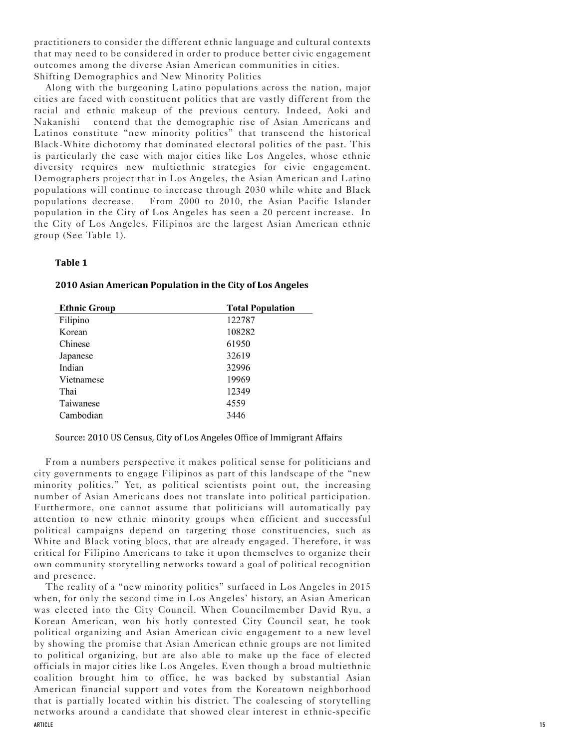practitioners to consider the different ethnic language and cultural contexts that may need to be considered in order to produce better civic engagement outcomes among the diverse Asian American communities in cities. Shifting Demographics and New Minority Politics

Along with the burgeoning Latino populations across the nation, major cities are faced with constituent politics that are vastly different from the racial and ethnic makeup of the previous century. Indeed, Aoki and Nakanishi contend that the demographic rise of Asian Americans and Latinos constitute "new minority politics" that transcend the historical Black-White dichotomy that dominated electoral politics of the past. This is particularly the case with major cities like Los Angeles, whose ethnic diversity requires new multiethnic strategies for civic engagement. Demographers project that in Los Angeles, the Asian American and Latino populations will continue to increase through 2030 while white and Black populations decrease. From 2000 to 2010, the Asian Pacific Islander population in the City of Los Angeles has seen a 20 percent increase. In the City of Los Angeles, Filipinos are the largest Asian American ethnic group (See Table 1).

#### Table 1

| <b>Ethnic Group</b> | <b>Total Population</b> |
|---------------------|-------------------------|
| Filipino            | 122787                  |
| Korean              | 108282                  |
| Chinese             | 61950                   |
| Japanese            | 32619                   |
| Indian              | 32996                   |
| Vietnamese          | 19969                   |
| Thai                | 12349                   |
| Taiwanese           | 4559                    |
| Cambodian           | 3446                    |

#### 2010 Asian American Population in the City of Los Angeles

#### Source: 2010 US Census, City of Los Angeles Office of Immigrant Affairs

From a numbers perspective it makes political sense for politicians and city governments to engage Filipinos as part of this landscape of the "new minority politics." Yet, as political scientists point out, the increasing number of Asian Americans does not translate into political participation. Furthermore, one cannot assume that politicians will automatically pay attention to new ethnic minority groups when efficient and successful political campaigns depend on targeting those constituencies, such as White and Black voting blocs, that are already engaged. Therefore, it was critical for Filipino Americans to take it upon themselves to organize their own community storytelling networks toward a goal of political recognition and presence.

**ARTICLE** The reality of a "new minority politics" surfaced in Los Angeles in 2015 when, for only the second time in Los Angeles' history, an Asian American was elected into the City Council. When Councilmember David Ryu, a Korean American, won his hotly contested City Council seat, he took political organizing and Asian American civic engagement to a new level by showing the promise that Asian American ethnic groups are not limited to political organizing, but are also able to make up the face of elected officials in major cities like Los Angeles. Even though a broad multiethnic coalition brought him to office, he was backed by substantial Asian American financial support and votes from the Koreatown neighborhood that is partially located within his district. The coalescing of storytelling networks around a candidate that showed clear interest in ethnic-specific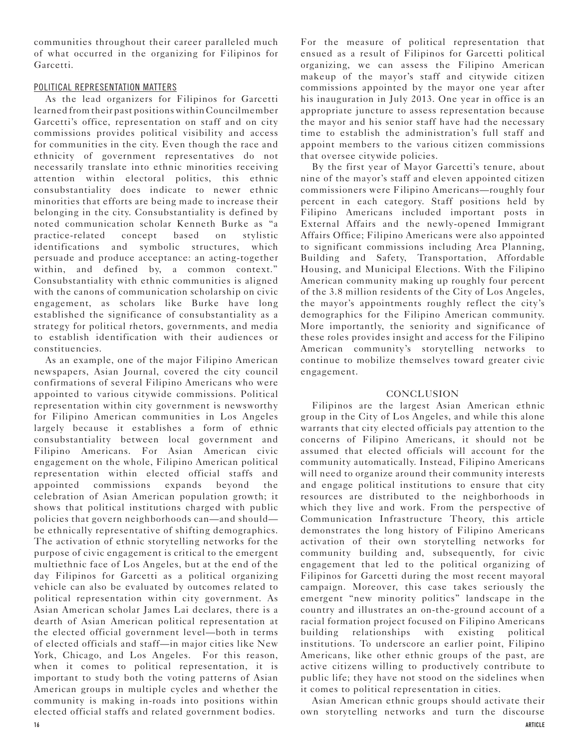communities throughout their career paralleled much of what occurred in the organizing for Filipinos for Garcetti.

## POLITICAL REPRESENTATION MATTERS

As the lead organizers for Filipinos for Garcetti learned from their past positions within Councilmember Garcetti's office, representation on staff and on city commissions provides political visibility and access for communities in the city. Even though the race and ethnicity of government representatives do not necessarily translate into ethnic minorities receiving attention within electoral politics, this ethnic consubstantiality does indicate to newer ethnic minorities that efforts are being made to increase their belonging in the city. Consubstantiality is defined by noted communication scholar Kenneth Burke as "a practice-related concept based on stylistic identifications and symbolic structures, which persuade and produce acceptance: an acting-together within, and defined by, a common context." Consubstantiality with ethnic communities is aligned with the canons of communication scholarship on civic engagement, as scholars like Burke have long established the significance of consubstantiality as a strategy for political rhetors, governments, and media to establish identification with their audiences or constituencies.

As an example, one of the major Filipino American newspapers, Asian Journal, covered the city council confirmations of several Filipino Americans who were appointed to various citywide commissions. Political representation within city government is newsworthy for Filipino American communities in Los Angeles largely because it establishes a form of ethnic consubstantiality between local government and Filipino Americans. For Asian American civic engagement on the whole, Filipino American political representation within elected official staffs and appointed commissions expands beyond the celebration of Asian American population growth; it shows that political institutions charged with public policies that govern neighborhoods can—and should be ethnically representative of shifting demographics. The activation of ethnic storytelling networks for the purpose of civic engagement is critical to the emergent multiethnic face of Los Angeles, but at the end of the day Filipinos for Garcetti as a political organizing vehicle can also be evaluated by outcomes related to political representation within city government. As Asian American scholar James Lai declares, there is a dearth of Asian American political representation at the elected official government level—both in terms of elected officials and staff—in major cities like New York, Chicago, and Los Angeles. For this reason, when it comes to political representation, it is important to study both the voting patterns of Asian American groups in multiple cycles and whether the community is making in-roads into positions within elected official staffs and related government bodies.

For the measure of political representation that ensued as a result of Filipinos for Garcetti political organizing, we can assess the Filipino American makeup of the mayor's staff and citywide citizen commissions appointed by the mayor one year after his inauguration in July 2013. One year in office is an appropriate juncture to assess representation because the mayor and his senior staff have had the necessary time to establish the administration's full staff and appoint members to the various citizen commissions that oversee citywide policies.

By the first year of Mayor Garcetti's tenure, about nine of the mayor's staff and eleven appointed citizen commissioners were Filipino Americans—roughly four percent in each category. Staff positions held by Filipino Americans included important posts in External Affairs and the newly-opened Immigrant Affairs Office; Filipino Americans were also appointed to significant commissions including Area Planning, Building and Safety, Transportation, Affordable Housing, and Municipal Elections. With the Filipino American community making up roughly four percent of the 3.8 million residents of the City of Los Angeles, the mayor's appointments roughly reflect the city's demographics for the Filipino American community. More importantly, the seniority and significance of these roles provides insight and access for the Filipino American community's storytelling networks to continue to mobilize themselves toward greater civic engagement.

### **CONCLUSION**

Filipinos are the largest Asian American ethnic group in the City of Los Angeles, and while this alone warrants that city elected officials pay attention to the concerns of Filipino Americans, it should not be assumed that elected officials will account for the community automatically. Instead, Filipino Americans will need to organize around their community interests and engage political institutions to ensure that city resources are distributed to the neighborhoods in which they live and work. From the perspective of Communication Infrastructure Theory, this article demonstrates the long history of Filipino Americans activation of their own storytelling networks for community building and, subsequently, for civic engagement that led to the political organizing of Filipinos for Garcetti during the most recent mayoral campaign. Moreover, this case takes seriously the emergent "new minority politics" landscape in the country and illustrates an on-the-ground account of a racial formation project focused on Filipino Americans building relationships with existing political institutions. To underscore an earlier point, Filipino Americans, like other ethnic groups of the past, are active citizens willing to productively contribute to public life; they have not stood on the sidelines when it comes to political representation in cities.

Asian American ethnic groups should activate their own storytelling networks and turn the discourse **16 ARTICLE**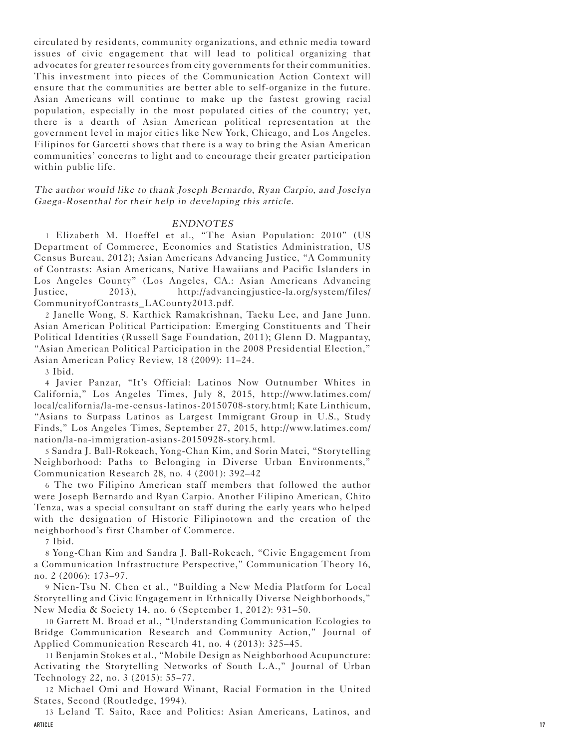circulated by residents, community organizations, and ethnic media toward issues of civic engagement that will lead to political organizing that advocates for greater resources from city governments for their communities. This investment into pieces of the Communication Action Context will ensure that the communities are better able to self-organize in the future. Asian Americans will continue to make up the fastest growing racial population, especially in the most populated cities of the country; yet, there is a dearth of Asian American political representation at the government level in major cities like New York, Chicago, and Los Angeles. Filipinos for Garcetti shows that there is a way to bring the Asian American communities' concerns to light and to encourage their greater participation within public life.

The author would like to thank Joseph Bernardo, Ryan Carpio, and Joselyn Gaega-Rosenthal for their help in developing this article.

#### ENDNOTES

1 Elizabeth M. Hoeffel et al., "The Asian Population: 2010" (US Department of Commerce, Economics and Statistics Administration, US Census Bureau, 2012); Asian Americans Advancing Justice, "A Community of Contrasts: Asian Americans, Native Hawaiians and Pacific Islanders in Los Angeles County" (Los Angeles, CA.: Asian Americans Advancing Justice, 2013), http://advancingjustice-la.org/system/files/ CommunityofContrasts\_LACounty2013.pdf.

2 Janelle Wong, S. Karthick Ramakrishnan, Taeku Lee, and Jane Junn. Asian American Political Participation: Emerging Constituents and Their Political Identities (Russell Sage Foundation, 2011); Glenn D. Magpantay, "Asian American Political Participation in the 2008 Presidential Election," Asian American Policy Review, 18 (2009): 11–24.

3 Ibid.

4 Javier Panzar, "It's Official: Latinos Now Outnumber Whites in California," Los Angeles Times, July 8, 2015, http://www.latimes.com/ local/california/la-me-census-latinos-20150708-story.html; Kate Linthicum, "Asians to Surpass Latinos as Largest Immigrant Group in U.S., Study Finds," Los Angeles Times, September 27, 2015, http://www.latimes.com/ nation/la-na-immigration-asians-20150928-story.html.

5 Sandra J. Ball-Rokeach, Yong-Chan Kim, and Sorin Matei, "Storytelling Neighborhood: Paths to Belonging in Diverse Urban Environments," Communication Research 28, no. 4 (2001): 392–42

6 The two Filipino American staff members that followed the author were Joseph Bernardo and Ryan Carpio. Another Filipino American, Chito Tenza, was a special consultant on staff during the early years who helped with the designation of Historic Filipinotown and the creation of the neighborhood's first Chamber of Commerce.

7 Ibid.

8 Yong-Chan Kim and Sandra J. Ball-Rokeach, "Civic Engagement from a Communication Infrastructure Perspective," Communication Theory 16, no. 2 (2006): 173–97.

9 Nien-Tsu N. Chen et al., "Building a New Media Platform for Local Storytelling and Civic Engagement in Ethnically Diverse Neighborhoods," New Media & Society 14, no. 6 (September 1, 2012): 931–50.

10 Garrett M. Broad et al., "Understanding Communication Ecologies to Bridge Communication Research and Community Action," Journal of Applied Communication Research 41, no. 4 (2013): 325–45.

11 Benjamin Stokes et al., "Mobile Design as Neighborhood Acupuncture: Activating the Storytelling Networks of South L.A.," Journal of Urban Technology 22, no. 3 (2015): 55–77.

12 Michael Omi and Howard Winant, Racial Formation in the United States, Second (Routledge, 1994).

13 Leland T. Saito, Race and Politics: Asian Americans, Latinos, and **ARTICLE 17**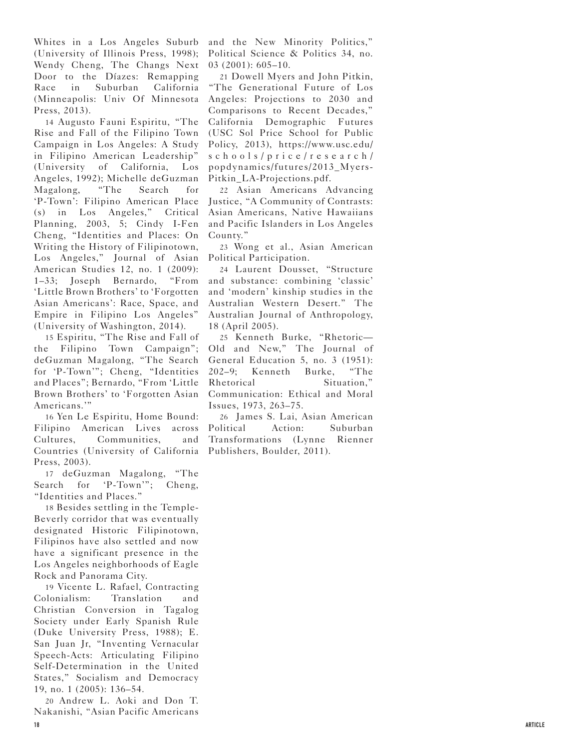Whites in a Los Angeles Suburb (University of Illinois Press, 1998); Wendy Cheng, The Changs Next Door to the Díazes: Remapping Race in Suburban California (Minneapolis: Univ Of Minnesota Press, 2013).

14 Augusto Fauni Espiritu, "The Rise and Fall of the Filipino Town Campaign in Los Angeles: A Study in Filipino American Leadership" (University of California, Los Angeles, 1992); Michelle deGuzman Magalong, "The Search for 'P-Town': Filipino American Place (s) in Los Angeles," Critical Planning, 2003, 5; Cindy I-Fen Cheng, "Identities and Places: On Writing the History of Filipinotown, Los Angeles," Journal of Asian American Studies 12, no. 1 (2009): 1–33; Joseph Bernardo, "From 'Little Brown Brothers' to 'Forgotten Asian Americans': Race, Space, and Empire in Filipino Los Angeles" (University of Washington, 2014).

15 Espiritu, "The Rise and Fall of the Filipino Town Campaign"; deGuzman Magalong, "The Search for 'P-Town'"; Cheng, "Identities and Places"; Bernardo, "From 'Little Brown Brothers' to 'Forgotten Asian Americans.'"

16 Yen Le Espiritu, Home Bound: Filipino American Lives across Cultures, Communities, and Countries (University of California Press, 2003).

17 deGuzman Magalong, "The Search for 'P-Town'"; Cheng, "Identities and Places."

18 Besides settling in the Temple-Beverly corridor that was eventually designated Historic Filipinotown, Filipinos have also settled and now have a significant presence in the Los Angeles neighborhoods of Eagle Rock and Panorama City.

19 Vicente L. Rafael, Contracting Colonialism: Translation and Christian Conversion in Tagalog Society under Early Spanish Rule (Duke University Press, 1988); E. San Juan Jr, "Inventing Vernacular Speech-Acts: Articulating Filipino Self-Determination in the United States," Socialism and Democracy 19, no. 1 (2005): 136–54.

20 Andrew L. Aoki and Don T. Nakanishi, "Asian Pacific Americans **18 ARTICLE**

and the New Minority Politics," Political Science & Politics 34, no. 03 (2001): 605–10.

21 Dowell Myers and John Pitkin, "The Generational Future of Los Angeles: Projections to 2030 and Comparisons to Recent Decades," California Demographic Futures (USC Sol Price School for Public Policy, 2013), https://www.usc.edu/ schools/price/research/ popdynamics/futures/2013\_Myers-Pitkin\_LA-Projections.pdf.

22 Asian Americans Advancing Justice, "A Community of Contrasts: Asian Americans, Native Hawaiians and Pacific Islanders in Los Angeles County."

23 Wong et al., Asian American Political Participation.

24 Laurent Dousset, "Structure and substance: combining 'classic' and 'modern' kinship studies in the Australian Western Desert." The Australian Journal of Anthropology, 18 (April 2005).

25 Kenneth Burke, "Rhetoric— Old and New," The Journal of General Education 5, no. 3 (1951): 202–9; Kenneth Burke, "The Rhetorical Situation." Communication: Ethical and Moral Issues, 1973, 263–75.

26 James S. Lai, Asian American Political Action: Suburban Transformations (Lynne Rienner Publishers, Boulder, 2011).